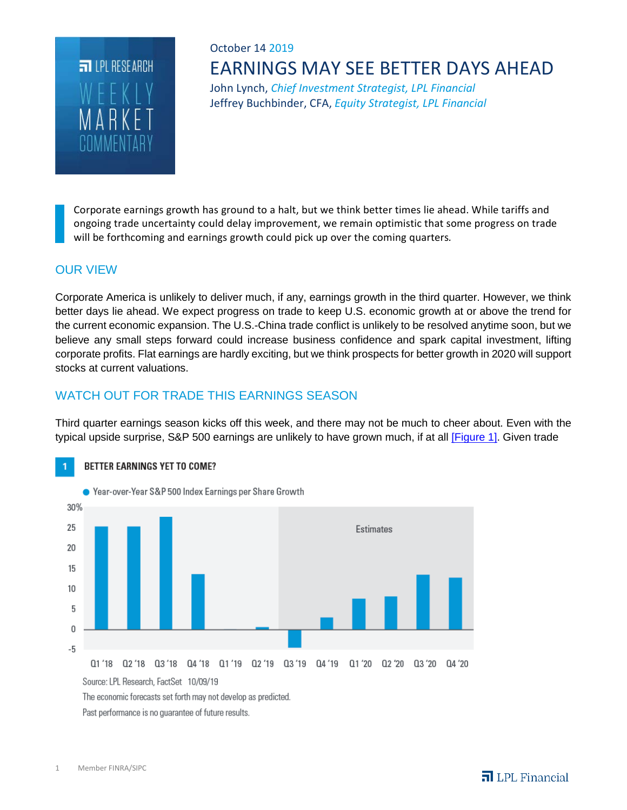

# October 14 2019 EARNINGS MAY SEE BETTER DAYS AHEAD

John Lynch, *Chief Investment Strategist, LPL Financial* Jeffrey Buchbinder, CFA, *Equity Strategist, LPL Financial*

Corporate earnings growth has ground to a halt, but we think better times lie ahead. While tariffs and ongoing trade uncertainty could delay improvement, we remain optimistic that some progress on trade will be forthcoming and earnings growth could pick up over the coming quarters*.*

### OUR VIEW

Corporate America is unlikely to deliver much, if any, earnings growth in the third quarter. However, we think better days lie ahead. We expect progress on trade to keep U.S. economic growth at or above the trend for the current economic expansion. The U.S.-China trade conflict is unlikely to be resolved anytime soon, but we believe any small steps forward could increase business confidence and spark capital investment, lifting corporate profits. Flat earnings are hardly exciting, but we think prospects for better growth in 2020 will support stocks at current valuations.

### WATCH OUT FOR TRADE THIS EARNINGS SEASON

Third quarter earnings season kicks off this week, and there may not be much to cheer about. Even with the typical upside surprise, S&P 500 earnings are unlikely to have grown much, if at all [\[Figure 1\].](http://view.ceros.com/lpl/101419-wmc-figure1) Given trade



1 Member FINRA/SIPC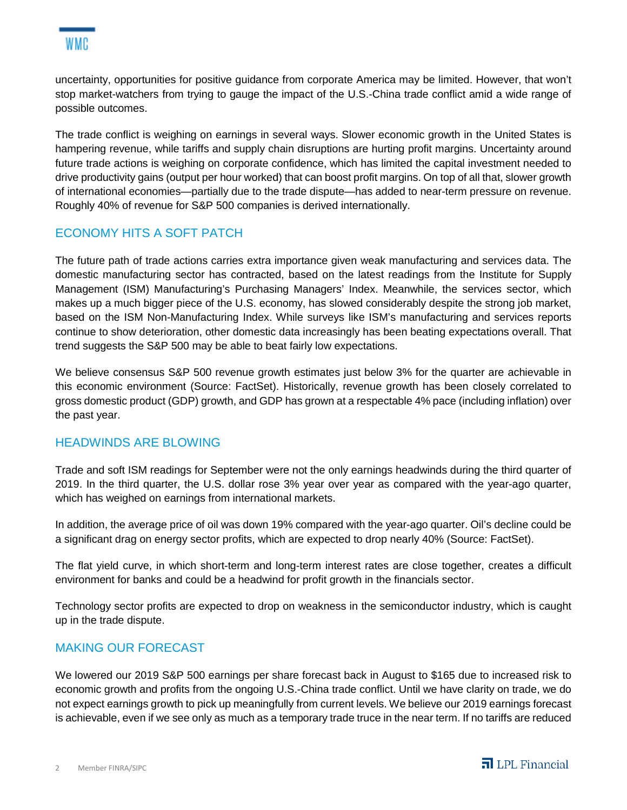

uncertainty, opportunities for positive guidance from corporate America may be limited. However, that won't stop market-watchers from trying to gauge the impact of the U.S.-China trade conflict amid a wide range of possible outcomes.

The trade conflict is weighing on earnings in several ways. Slower economic growth in the United States is hampering revenue, while tariffs and supply chain disruptions are hurting profit margins. Uncertainty around future trade actions is weighing on corporate confidence, which has limited the capital investment needed to drive productivity gains (output per hour worked) that can boost profit margins. On top of all that, slower growth of international economies—partially due to the trade dispute—has added to near-term pressure on revenue. Roughly 40% of revenue for S&P 500 companies is derived internationally.

### ECONOMY HITS A SOFT PATCH

The future path of trade actions carries extra importance given weak manufacturing and services data. The domestic manufacturing sector has contracted, based on the latest readings from the Institute for Supply Management (ISM) Manufacturing's Purchasing Managers' Index. Meanwhile, the services sector, which makes up a much bigger piece of the U.S. economy, has slowed considerably despite the strong job market, based on the ISM Non-Manufacturing Index. While surveys like ISM's manufacturing and services reports continue to show deterioration, other domestic data increasingly has been beating expectations overall. That trend suggests the S&P 500 may be able to beat fairly low expectations.

We believe consensus S&P 500 revenue growth estimates just below 3% for the quarter are achievable in this economic environment (Source: FactSet). Historically, revenue growth has been closely correlated to gross domestic product (GDP) growth, and GDP has grown at a respectable 4% pace (including inflation) over the past year.

#### HEADWINDS ARE BLOWING

Trade and soft ISM readings for September were not the only earnings headwinds during the third quarter of 2019. In the third quarter, the U.S. dollar rose 3% year over year as compared with the year-ago quarter, which has weighed on earnings from international markets.

In addition, the average price of oil was down 19% compared with the year-ago quarter. Oil's decline could be a significant drag on energy sector profits, which are expected to drop nearly 40% (Source: FactSet).

The flat yield curve, in which short-term and long-term interest rates are close together, creates a difficult environment for banks and could be a headwind for profit growth in the financials sector.

Technology sector profits are expected to drop on weakness in the semiconductor industry, which is caught up in the trade dispute.

#### MAKING OUR FORECAST

We lowered our 2019 S&P 500 earnings per share forecast back in August to \$165 due to increased risk to economic growth and profits from the ongoing U.S.-China trade conflict. Until we have clarity on trade, we do not expect earnings growth to pick up meaningfully from current levels. We believe our 2019 earnings forecast is achievable, even if we see only as much as a temporary trade truce in the near term. If no tariffs are reduced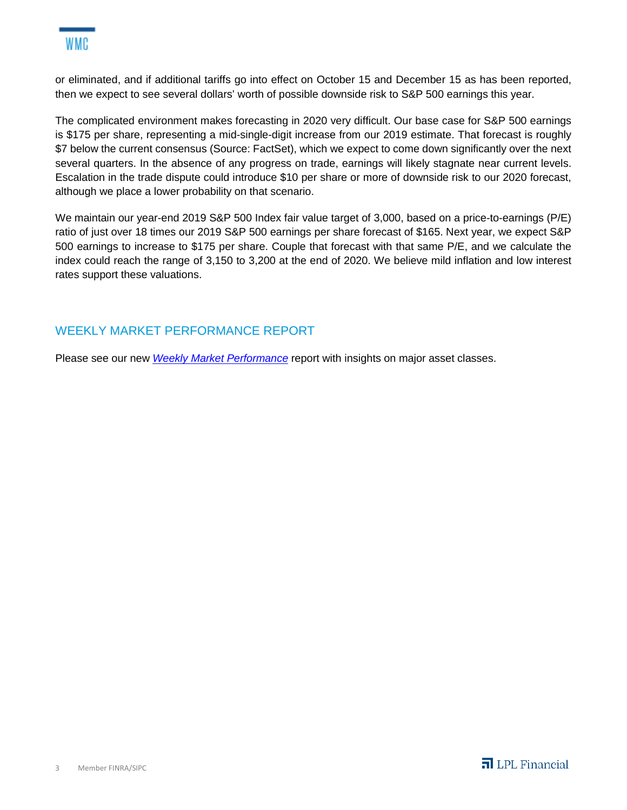or eliminated, and if additional tariffs go into effect on October 15 and December 15 as has been reported, then we expect to see several dollars' worth of possible downside risk to S&P 500 earnings this year.

The complicated environment makes forecasting in 2020 very difficult. Our base case for S&P 500 earnings is \$175 per share, representing a mid-single-digit increase from our 2019 estimate. That forecast is roughly \$7 below the current consensus (Source: FactSet), which we expect to come down significantly over the next several quarters. In the absence of any progress on trade, earnings will likely stagnate near current levels. Escalation in the trade dispute could introduce \$10 per share or more of downside risk to our 2020 forecast, although we place a lower probability on that scenario.

We maintain our year-end 2019 S&P 500 Index fair value target of 3,000, based on a price-to-earnings (P/E) ratio of just over 18 times our 2019 S&P 500 earnings per share forecast of \$165. Next year, we expect S&P 500 earnings to increase to \$175 per share. Couple that forecast with that same P/E, and we calculate the index could reach the range of 3,150 to 3,200 at the end of 2020. We believe mild inflation and low interest rates support these valuations.

## WEEKLY MARKET PERFORMANCE REPORT

Please see our new *[Weekly Market Performance](https://lpl-research.com/web_users/rss/LPL_RSS_Feeds_Publications/WMP/WeeklyMarketPerformance_101119.pdf)* report with insights on major asset classes.